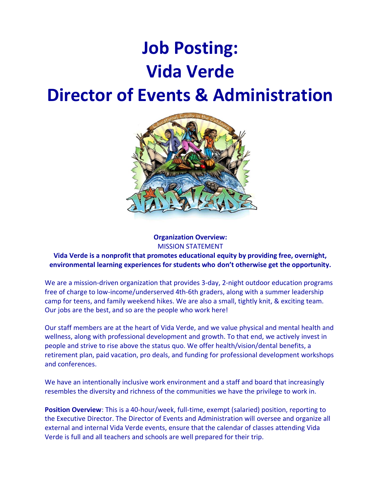# **Job Posting: Vida Verde**

## **Director of Events & Administration**



## **Organization Overview:** MISSION STATEMENT

## **Vida Verde is a nonprofit that promotes educational equity by providing free, overnight, environmental learning experiences for students who don't otherwise get the opportunity.**

We are a mission-driven organization that provides 3-day, 2-night outdoor education programs free of charge to low-income/underserved 4th-6th graders, along with a summer leadership camp for teens, and family weekend hikes. We are also a small, tightly knit, & exciting team. Our jobs are the best, and so are the people who work here!

Our staff members are at the heart of Vida Verde, and we value physical and mental health and wellness, along with professional development and growth. To that end, we actively invest in people and strive to rise above the status quo. We offer health/vision/dental benefits, a retirement plan, paid vacation, pro deals, and funding for professional development workshops and conferences.

We have an intentionally inclusive work environment and a staff and board that increasingly resembles the diversity and richness of the communities we have the privilege to work in.

**Position Overview**: This is a 40-hour/week, full-time, exempt (salaried) position, reporting to the Executive Director. The Director of Events and Administration will oversee and organize all external and internal Vida Verde events, ensure that the calendar of classes attending Vida Verde is full and all teachers and schools are well prepared for their trip.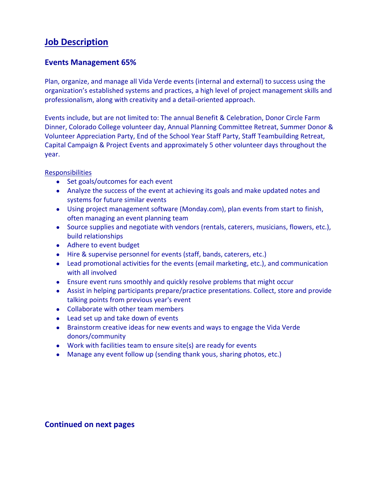## **Job Description**

## **Events Management 65%**

Plan, organize, and manage all Vida Verde events (internal and external) to success using the organization's established systems and practices, a high level of project management skills and professionalism, along with creativity and a detail-oriented approach.

Events include, but are not limited to: The annual Benefit & Celebration, Donor Circle Farm Dinner, Colorado College volunteer day, Annual Planning Committee Retreat, Summer Donor & Volunteer Appreciation Party, End of the School Year Staff Party, Staff Teambuilding Retreat, Capital Campaign & Project Events and approximately 5 other volunteer days throughout the year.

**Responsibilities** 

- Set goals/outcomes for each event
- Analyze the success of the event at achieving its goals and make updated notes and systems for future similar events
- Using project management software (Monday.com), plan events from start to finish, often managing an event planning team
- Source supplies and negotiate with vendors (rentals, caterers, musicians, flowers, etc.), build relationships
- Adhere to event budget
- Hire & supervise personnel for events (staff, bands, caterers, etc.)
- Lead promotional activities for the events (email marketing, etc.), and communication with all involved
- Ensure event runs smoothly and quickly resolve problems that might occur
- Assist in helping participants prepare/practice presentations. Collect, store and provide talking points from previous year's event
- Collaborate with other team members
- Lead set up and take down of events
- Brainstorm creative ideas for new events and ways to engage the Vida Verde donors/community
- Work with facilities team to ensure site(s) are ready for events
- Manage any event follow up (sending thank yous, sharing photos, etc.)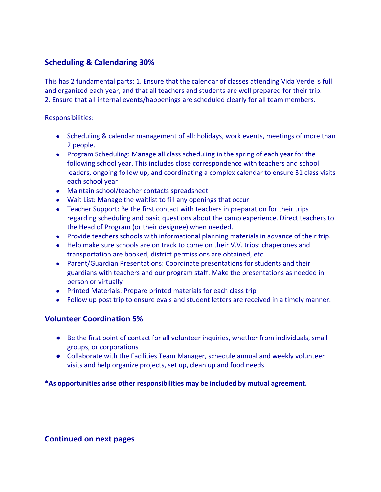## **Scheduling & Calendaring 30%**

This has 2 fundamental parts: 1. Ensure that the calendar of classes attending Vida Verde is full and organized each year, and that all teachers and students are well prepared for their trip. 2. Ensure that all internal events/happenings are scheduled clearly for all team members.

Responsibilities:

- Scheduling & calendar management of all: holidays, work events, meetings of more than 2 people.
- Program Scheduling: Manage all class scheduling in the spring of each year for the following school year. This includes close correspondence with teachers and school leaders, ongoing follow up, and coordinating a complex calendar to ensure 31 class visits each school year
- Maintain school/teacher contacts spreadsheet
- Wait List: Manage the waitlist to fill any openings that occur
- Teacher Support: Be the first contact with teachers in preparation for their trips regarding scheduling and basic questions about the camp experience. Direct teachers to the Head of Program (or their designee) when needed.
- Provide teachers schools with informational planning materials in advance of their trip.
- Help make sure schools are on track to come on their V.V. trips: chaperones and transportation are booked, district permissions are obtained, etc.
- Parent/Guardian Presentations: Coordinate presentations for students and their guardians with teachers and our program staff. Make the presentations as needed in person or virtually
- Printed Materials: Prepare printed materials for each class trip
- Follow up post trip to ensure evals and student letters are received in a timely manner.

## **Volunteer Coordination 5%**

- Be the first point of contact for all volunteer inquiries, whether from individuals, small groups, or corporations
- Collaborate with the Facilities Team Manager, schedule annual and weekly volunteer visits and help organize projects, set up, clean up and food needs

**\*As opportunities arise other responsibilities may be included by mutual agreement.**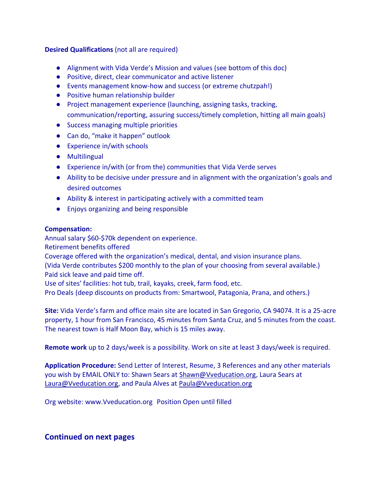## **Desired Qualifications** (not all are required)

- Alignment with Vida Verde's Mission and values (see bottom of this doc)
- Positive, direct, clear communicator and active listener
- Events management know-how and success (or extreme chutzpah!)
- Positive human relationship builder
- Project management experience (launching, assigning tasks, tracking, communication/reporting, assuring success/timely completion, hitting all main goals)
- Success managing multiple priorities
- Can do, "make it happen" outlook
- Experience in/with schools
- Multilingual
- Experience in/with (or from the) communities that Vida Verde serves
- Ability to be decisive under pressure and in alignment with the organization's goals and desired outcomes
- Ability & interest in participating actively with a committed team
- Enjoys organizing and being responsible

## **Compensation:**

Annual salary \$60-\$70k dependent on experience.

Retirement benefits offered

Coverage offered with the organization's medical, dental, and vision insurance plans.

(Vida Verde contributes \$200 monthly to the plan of your choosing from several available.) Paid sick leave and paid time off.

Use of sites' facilities: hot tub, trail, kayaks, creek, farm food, etc.

Pro Deals (deep discounts on products from: Smartwool, Patagonia, Prana, and others.)

**Site:** Vida Verde's farm and office main site are located in San Gregorio, CA 94074. It is a 25-acre property, 1 hour from San Francisco, 45 minutes from Santa Cruz, and 5 minutes from the coast. The nearest town is Half Moon Bay, which is 15 miles away.

**Remote work** up to 2 days/week is a possibility. Work on site at least 3 days/week is required.

**Application Procedure:** Send Letter of Interest, Resume, 3 References and any other materials you wish by EMAIL ONLY to: Shawn Sears at Shawn@Vveducation.org, Laura Sears at [Laura@Vveducation.org,](mailto:Laura@vveducation.org) and Paula Alves at Paula@Vveducation.org

Org website: www.Vveducation.org Position Open until filled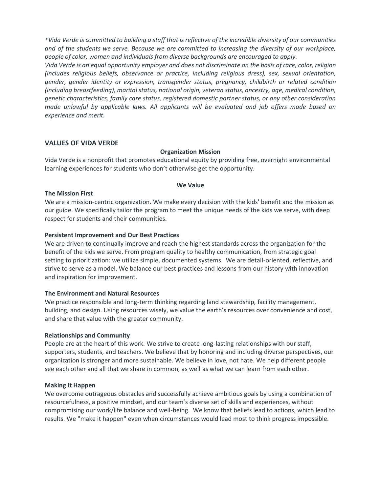*\*Vida Verde is committed to building a staff that is reflective of the incredible diversity of our communities and of the students we serve. Because we are committed to increasing the diversity of our workplace, people of color, women and individuals from diverse backgrounds are encouraged to apply.*

*Vida Verde is an equal opportunity employer and does not discriminate on the basis of race, color, religion (includes religious beliefs, observance or practice, including religious dress), sex, sexual orientation, gender, gender identity or expression, transgender status, pregnancy, childbirth or related condition (including breastfeeding), marital status, national origin, veteran status, ancestry, age, medical condition, genetic characteristics, family care status, registered domestic partner status, or any other consideration made unlawful by applicable laws. All applicants will be evaluated and job offers made based on experience and merit.*

#### **VALUES OF VIDA VERDE**

#### **Organization Mission**

Vida Verde is a nonprofit that promotes educational equity by providing free, overnight environmental learning experiences for students who don't otherwise get the opportunity.

#### **We Value**

#### **The Mission First**

We are a mission-centric organization. We make every decision with the kids' benefit and the mission as our guide. We specifically tailor the program to meet the unique needs of the kids we serve, with deep respect for students and their communities.

#### **Persistent Improvement and Our Best Practices**

We are driven to continually improve and reach the highest standards across the organization for the benefit of the kids we serve. From program quality to healthy communication, from strategic goal setting to prioritization: we utilize simple, documented systems. We are detail-oriented, reflective, and strive to serve as a model. We balance our best practices and lessons from our history with innovation and inspiration for improvement.

#### **The Environment and Natural Resources**

We practice responsible and long-term thinking regarding land stewardship, facility management, building, and design. Using resources wisely, we value the earth's resources over convenience and cost, and share that value with the greater community.

#### **Relationships and Community**

People are at the heart of this work. We strive to create long-lasting relationships with our staff, supporters, students, and teachers. We believe that by honoring and including diverse perspectives, our organization is stronger and more sustainable. We believe in love, not hate. We help different people see each other and all that we share in common, as well as what we can learn from each other.

#### **Making It Happen**

We overcome outrageous obstacles and successfully achieve ambitious goals by using a combination of resourcefulness, a positive mindset, and our team's diverse set of skills and experiences, without compromising our work/life balance and well-being. We know that beliefs lead to actions, which lead to results. We "make it happen" even when circumstances would lead most to think progress impossible.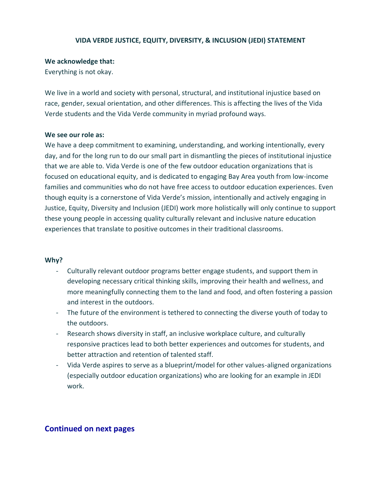#### **VIDA VERDE JUSTICE, EQUITY, DIVERSITY, & INCLUSION (JEDI) STATEMENT**

#### **We acknowledge that:**

Everything is not okay.

We live in a world and society with personal, structural, and institutional injustice based on race, gender, sexual orientation, and other differences. This is affecting the lives of the Vida Verde students and the Vida Verde community in myriad profound ways.

#### **We see our role as:**

We have a deep commitment to examining, understanding, and working intentionally, every day, and for the long run to do our small part in dismantling the pieces of institutional injustice that we are able to. Vida Verde is one of the few outdoor education organizations that is focused on educational equity, and is dedicated to engaging Bay Area youth from low-income families and communities who do not have free access to outdoor education experiences. Even though equity is a cornerstone of Vida Verde's mission, intentionally and actively engaging in Justice, Equity, Diversity and Inclusion (JEDI) work more holistically will only continue to support these young people in accessing quality culturally relevant and inclusive nature education experiences that translate to positive outcomes in their traditional classrooms.

#### **Why?**

- Culturally relevant outdoor programs better engage students, and support them in developing necessary critical thinking skills, improving their health and wellness, and more meaningfully connecting them to the land and food, and often fostering a passion and interest in the outdoors.
- The future of the environment is tethered to connecting the diverse youth of today to the outdoors.
- Research shows diversity in staff, an inclusive workplace culture, and culturally responsive practices lead to both better experiences and outcomes for students, and better attraction and retention of talented staff.
- Vida Verde aspires to serve as a blueprint/model for other values-aligned organizations (especially outdoor education organizations) who are looking for an example in JEDI work.